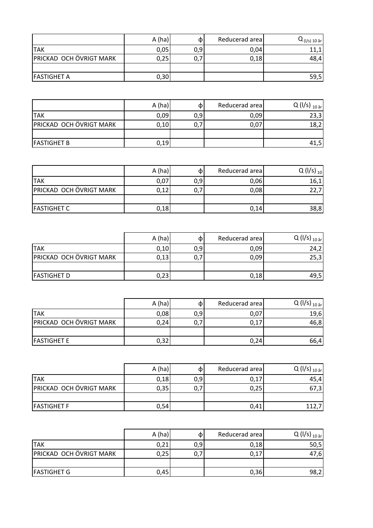|                         | A(ha) |     | Reducerad area | $Q_{(I/s) 10 sr}$ |
|-------------------------|-------|-----|----------------|-------------------|
| <b>TAK</b>              | 0,05  | 0,9 | 0,04           | 11,1              |
| PRICKAD OCH ÖVRIGT MARK | 0,25  | 0,: | 0,18           | 48,4              |
|                         |       |     |                |                   |
| <b>FASTIGHET A</b>      | 0,30  |     |                | 59,5              |

|                         | A(ha) |     | Reducerad area | Q ( $I/s$ ) <sub>10 år</sub> |
|-------------------------|-------|-----|----------------|------------------------------|
| <b>TAK</b>              | 0,09  | 0,9 | 0,09           | 23,3                         |
| PRICKAD OCH ÖVRIGT MARK | 0,10  | 0,7 | 0,07           | 18,2                         |
|                         |       |     |                |                              |
| <b>FASTIGHET B</b>      | 0,19  |     |                | 41,5                         |

|                         | A(ha) | Œ.  | Reducerad area | $Q(1/s)_{10}$ |
|-------------------------|-------|-----|----------------|---------------|
| <b>TAK</b>              | 0,07  | 0,9 | 0,06           | 16,1          |
| PRICKAD OCH ÖVRIGT MARK | 0,12  | 0,7 | 0,08           | 22,7          |
|                         |       |     |                |               |
| <b>FASTIGHET C</b>      | 0,18  |     | 0,14           | 38,8          |

|                         | A(ha) | Œ.  | Reducerad area | Q (I/s) $_{10 \text{ at }}$ |
|-------------------------|-------|-----|----------------|-----------------------------|
| <b>TAK</b>              | 0,10  | 0,9 | 0,09           | 24,2                        |
| PRICKAD OCH ÖVRIGT MARK | 0,13  | 0,7 | 0,09           | 25,3                        |
|                         |       |     |                |                             |
| <b>FASTIGHET D</b>      | 0,23  |     | 0,18           | 49,5                        |

|                         | A(ha) | OD. | Reducerad area | Q (I/s) $_{10 \text{ at }}$ |
|-------------------------|-------|-----|----------------|-----------------------------|
| <b>TAK</b>              | 0,08  | 0,9 | 0,07           | 19,6                        |
| PRICKAD OCH ÖVRIGT MARK | 0,24  | 0,7 | 0,17           | 46,8                        |
|                         |       |     |                |                             |
| <b>FASTIGHET E</b>      | 0,32  |     | 0,24           | 66,4                        |

|                         | A(ha) | መ   | Reducerad area | Q (I/s) $_{10 \text{ at }}$ |
|-------------------------|-------|-----|----------------|-----------------------------|
| <b>TAK</b>              | 0,18  | 0,9 | 0,17           | 45,4                        |
| PRICKAD OCH ÖVRIGT MARK | 0,35  | 0,7 | 0,25           | 67,3                        |
|                         |       |     |                |                             |
| <b>FASTIGHET F</b>      | 0,54  |     | 0,41           |                             |

|                         | A(ha) |     | Reducerad area | $Q (1/s)_{10 \text{ at}}$ |
|-------------------------|-------|-----|----------------|---------------------------|
| <b>TAK</b>              | 0,21  | 0,9 | 0,18           | 50,5                      |
| PRICKAD OCH ÖVRIGT MARK | 0,25  | 0,7 | 0,17           | 47,6                      |
|                         |       |     |                |                           |
| <b>FASTIGHET G</b>      | 0,45  |     | 0,36           | 98,2                      |